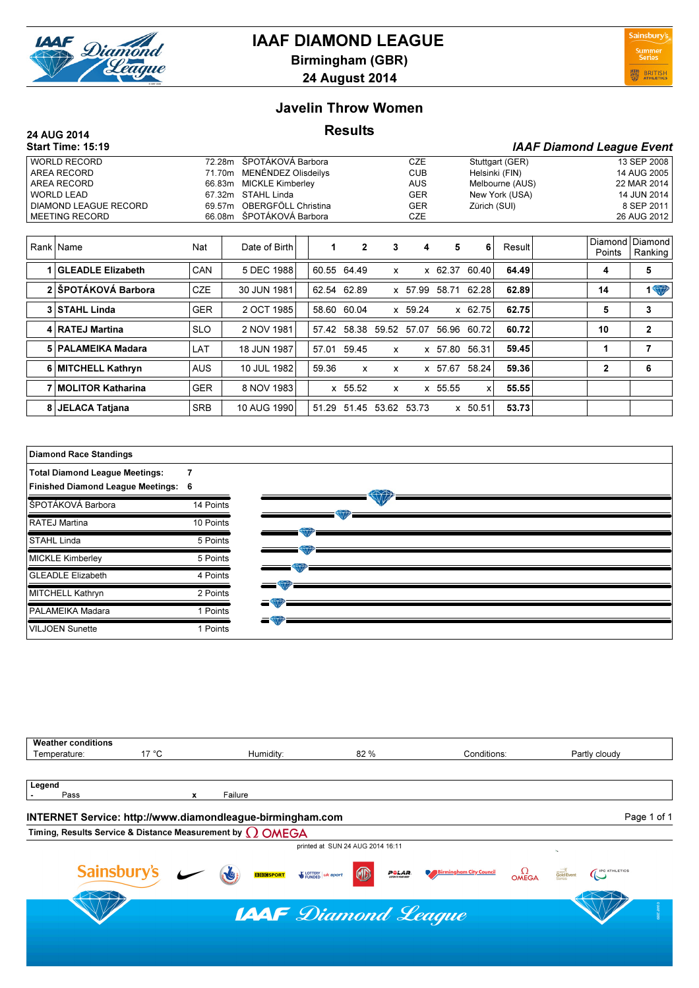

# IAAF DIAMOND LEAGUE

Birmingham (GBR) 24 August 2014



#### Javelin Throw Women

## 24 AUG 2014 **Results**

|                               | <b>Start Time: 15:19</b> |            |                            |                          |       |                |                         |            |         |                |                 | <b>IAAF Diamond League Event</b> |                   |                    |
|-------------------------------|--------------------------|------------|----------------------------|--------------------------|-------|----------------|-------------------------|------------|---------|----------------|-----------------|----------------------------------|-------------------|--------------------|
| <b>WORLD RECORD</b><br>72.28m |                          |            |                            | ŠPOTÁKOVÁ Barbora        |       |                |                         | <b>CZE</b> |         |                | Stuttgart (GER) |                                  |                   | 13 SEP 2008        |
| AREA RECORD<br>71.70m         |                          |            | <b>MENÉNDEZ Olisdeilys</b> |                          |       |                | <b>CUB</b>              |            |         | Helsinki (FIN) |                 |                                  | 14 AUG 2005       |                    |
|                               | AREA RECORD              | 66.83m     |                            | <b>MICKLE Kimberley</b>  |       |                |                         | <b>AUS</b> |         |                | Melbourne (AUS) |                                  | 22 MAR 2014       |                    |
|                               | <b>WORLD LEAD</b>        | 67.32m     | STAHL Linda                |                          |       |                |                         | <b>GER</b> |         | New York (USA) |                 |                                  | 14 JUN 2014       |                    |
|                               | DIAMOND LEAGUE RECORD    |            | 69.57m                     | OBERGFÖLL Christina      |       |                |                         | <b>GER</b> |         |                | Zürich (SUI)    |                                  | 8 SEP 2011        |                    |
|                               | <b>MEETING RECORD</b>    |            |                            | 66.08m ŠPOTÁKOVÁ Barbora |       |                | <b>CZE</b>              |            |         |                |                 |                                  |                   | 26 AUG 2012        |
|                               |                          |            |                            |                          |       |                |                         |            |         |                |                 |                                  |                   |                    |
|                               | Rank Name                | Nat        | Date of Birth              |                          |       | $\overline{2}$ | 3                       | 4          | 5       | 6              | Result          |                                  | Diamond<br>Points | Diamond<br>Ranking |
|                               | <b>GLEADLE Elizabeth</b> | CAN        | 5 DEC 1988                 |                          |       | 60.55 64.49    | x                       |            | x 62.37 | 60.40          | 64.49           |                                  | 4                 | 5                  |
|                               | 2 ŠPOTÁKOVÁ Barbora      | <b>CZE</b> | 30 JUN 1981                |                          |       | 62.54 62.89    |                         | x 57.99    |         | 58.71 62.28    | 62.89           |                                  | 14                | <b>1 W</b>         |
|                               | 3 STAHL Linda            | <b>GER</b> | 2 OCT 1985                 |                          | 58.60 | 60.04          |                         | x 59.24    |         | x 62.75        | 62.75           |                                  | 5                 | 3                  |
|                               | 4 RATEJ Martina          | <b>SLO</b> | 2 NOV 1981                 |                          |       |                | 57.42 58.38 59.52 57.07 |            |         | 56.96 60.72    | 60.72           |                                  | 10                | 2                  |
|                               | 5   PALAMEIKA Madara     | LAT        | 18 JUN 1987                |                          | 57.01 | 59.45          | x                       |            | x 57.80 | 56.31          | 59.45           |                                  |                   | 7                  |
|                               | 6 MITCHELL Kathryn       | <b>AUS</b> | 10 JUL 1982                |                          | 59.36 | x              | x                       |            | x 57.67 | 58.24          | 59.36           |                                  | 2                 | 6                  |

7 MOLITOR Katharina GER 8 NOV 1983 x 55.52 x x 55.55 x 55.55 8 JELACA Tatjana SRB 10 AUG 1990 51.29 51.45 53.62 53.73 x 50.51 53.73

| <b>Diamond Race Standings</b>            |           |
|------------------------------------------|-----------|
| <b>Total Diamond League Meetings:</b>    | 7         |
| <b>Finished Diamond League Meetings:</b> | 6         |
| ŠPOTÁKOVÁ Barbora                        | 14 Points |
| <b>RATEJ Martina</b>                     | 10 Points |
| STAHL Linda                              | 5 Points  |
| <b>MICKLE Kimberley</b>                  | 5 Points  |
| <b>GLEADLE Elizabeth</b>                 | 4 Points  |
| <b>MITCHELL Kathryn</b>                  | 2 Points  |
| PALAMEIKA Madara                         | 1 Points  |
| <b>VILJOEN Sunette</b>                   | 1 Points  |



| <b>Weather conditions</b>      |                                                                          |                                              |                                                                            |                                |                                                                                                                             |  |  |  |  |  |  |
|--------------------------------|--------------------------------------------------------------------------|----------------------------------------------|----------------------------------------------------------------------------|--------------------------------|-----------------------------------------------------------------------------------------------------------------------------|--|--|--|--|--|--|
| 17 $\degree$ C<br>Temperature: |                                                                          | Humidity:                                    | 82 %                                                                       | Conditions:                    | Partly cloudy                                                                                                               |  |  |  |  |  |  |
|                                |                                                                          |                                              |                                                                            |                                |                                                                                                                             |  |  |  |  |  |  |
| Legend                         |                                                                          |                                              |                                                                            |                                |                                                                                                                             |  |  |  |  |  |  |
| Pass                           | x                                                                        | Failure                                      |                                                                            |                                |                                                                                                                             |  |  |  |  |  |  |
|                                | INTERNET Service: http://www.diamondleague-birmingham.com<br>Page 1 of 1 |                                              |                                                                            |                                |                                                                                                                             |  |  |  |  |  |  |
|                                | Timing, Results Service & Distance Measurement by $\Omega$ OMEGA         |                                              |                                                                            |                                |                                                                                                                             |  |  |  |  |  |  |
|                                |                                                                          |                                              | printed at SUN 24 AUG 2014 16:11                                           |                                | $\mathcal{D}_{\mathbf{X}}$                                                                                                  |  |  |  |  |  |  |
|                                | Sainsbury's                                                              | <b>BBGSPORT</b> WE LOTTERY   uk sport<br>RGE | O<br>$\n  5 6 6 7 6 8 8 6 8 7 8 8 8 8 8 8 8 8 8 8 8 8 8 8 8 8 8 8 8 8 8 <$ | <b>Birmingham City Council</b> | <b>Gold Event</b><br>$\left(\begin{smallmatrix} \text{IPC ATHLETICS} \ \text{I} \end{smallmatrix}\right)$<br>$\Omega$ OMEGA |  |  |  |  |  |  |
| <b>LAAF</b> Diamond League     |                                                                          |                                              |                                                                            |                                |                                                                                                                             |  |  |  |  |  |  |